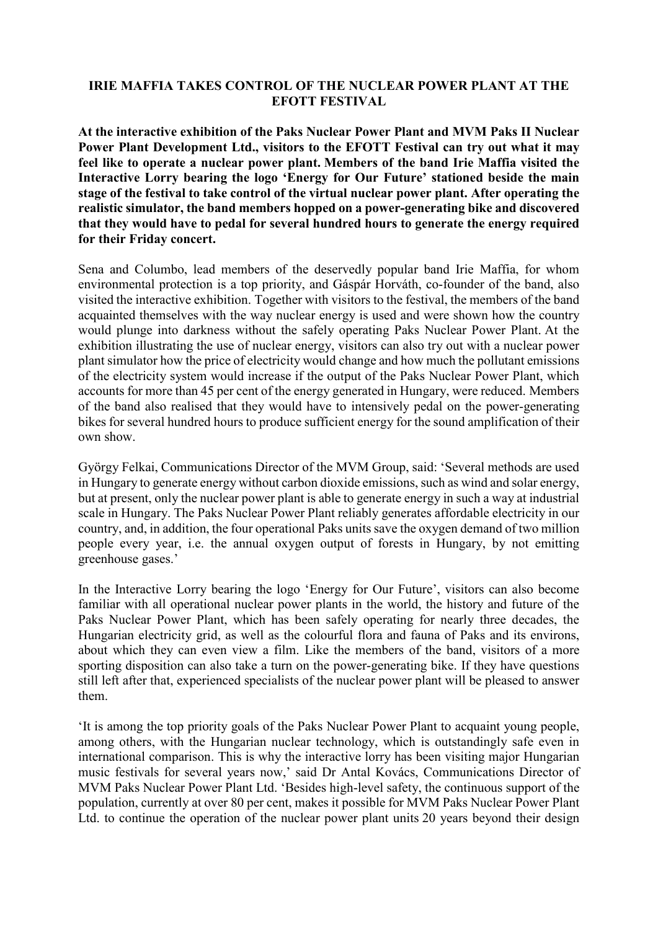## **IRIE MAFFIA TAKES CONTROL OF THE NUCLEAR POWER PLANT AT THE EFOTT FESTIVAL**

**At the interactive exhibition of the Paks Nuclear Power Plant and MVM Paks II Nuclear Power Plant Development Ltd., visitors to the EFOTT Festival can try out what it may feel like to operate a nuclear power plant. Members of the band Irie Maffia visited the Interactive Lorry bearing the logo 'Energy for Our Future' stationed beside the main stage of the festival to take control of the virtual nuclear power plant. After operating the realistic simulator, the band members hopped on a power-generating bike and discovered that they would have to pedal for several hundred hours to generate the energy required for their Friday concert.**

Sena and Columbo, lead members of the deservedly popular band Irie Maffia, for whom environmental protection is a top priority, and Gáspár Horváth, co-founder of the band, also visited the interactive exhibition. Together with visitors to the festival, the members of the band acquainted themselves with the way nuclear energy is used and were shown how the country would plunge into darkness without the safely operating Paks Nuclear Power Plant. At the exhibition illustrating the use of nuclear energy, visitors can also try out with a nuclear power plant simulator how the price of electricity would change and how much the pollutant emissions of the electricity system would increase if the output of the Paks Nuclear Power Plant, which accounts for more than 45 per cent of the energy generated in Hungary, were reduced. Members of the band also realised that they would have to intensively pedal on the power-generating bikes for several hundred hours to produce sufficient energy for the sound amplification of their own show.

György Felkai, Communications Director of the MVM Group, said: 'Several methods are used in Hungary to generate energy without carbon dioxide emissions, such as wind and solar energy, but at present, only the nuclear power plant is able to generate energy in such a way at industrial scale in Hungary. The Paks Nuclear Power Plant reliably generates affordable electricity in our country, and, in addition, the four operational Paks units save the oxygen demand of two million people every year, i.e. the annual oxygen output of forests in Hungary, by not emitting greenhouse gases.'

In the Interactive Lorry bearing the logo 'Energy for Our Future', visitors can also become familiar with all operational nuclear power plants in the world, the history and future of the Paks Nuclear Power Plant, which has been safely operating for nearly three decades, the Hungarian electricity grid, as well as the colourful flora and fauna of Paks and its environs, about which they can even view a film. Like the members of the band, visitors of a more sporting disposition can also take a turn on the power-generating bike. If they have questions still left after that, experienced specialists of the nuclear power plant will be pleased to answer them.

'It is among the top priority goals of the Paks Nuclear Power Plant to acquaint young people, among others, with the Hungarian nuclear technology, which is outstandingly safe even in international comparison. This is why the interactive lorry has been visiting major Hungarian music festivals for several years now,' said Dr Antal Kovács, Communications Director of MVM Paks Nuclear Power Plant Ltd. 'Besides high-level safety, the continuous support of the population, currently at over 80 per cent, makes it possible for MVM Paks Nuclear Power Plant Ltd. to continue the operation of the nuclear power plant units 20 years beyond their design